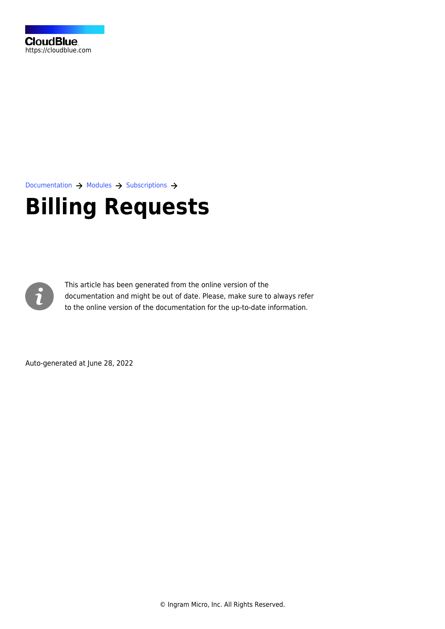[Documentation](https://connect.cloudblue.com/documentation)  $\rightarrow$  [Modules](https://connect.cloudblue.com/community/modules/)  $\rightarrow$  [Subscriptions](https://connect.cloudblue.com/community/modules/subscriptions/)  $\rightarrow$ 

# **[Billing Requests](https://connect.cloudblue.com/community/modules/subscriptions/billing-requests/)**



This article has been generated from the online version of the documentation and might be out of date. Please, make sure to always refer to the online version of the documentation for the up-to-date information.

Auto-generated at June 28, 2022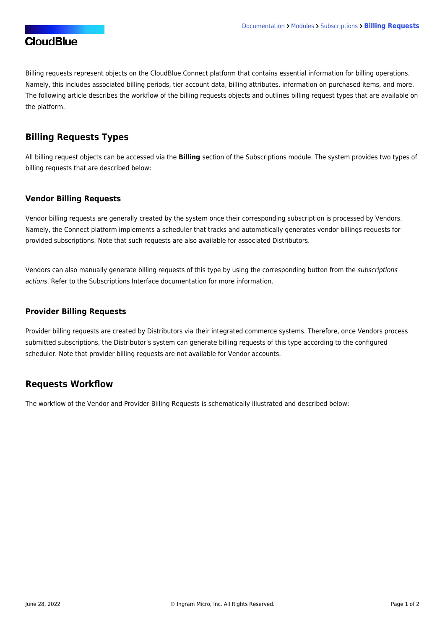# **CloudBlue**

Billing requests represent objects on the CloudBlue Connect platform that contains essential information for billing operations. Namely, this includes associated billing periods, tier account data, billing attributes, information on purchased items, and more. The following article describes the workflow of the billing requests objects and outlines billing request types that are available on the platform.

## **Billing Requests Types**

All billing request objects can be accessed via the **Billing** section of the Subscriptions module. The system provides two types of billing requests that are described below:

#### **Vendor Billing Requests**

Vendor billing requests are generally created by the system once their corresponding subscription is processed by Vendors. Namely, the Connect platform implements a scheduler that tracks and automatically generates vendor billings requests for provided subscriptions. Note that such requests are also available for associated Distributors.

Vendors can also manually generate billing requests of this type by using the corresponding button from the subscriptions actions. Refer to the [Subscriptions Interface](https://connect.cloudblue.com/community/modules/subscriptions/user-interface/#distributor-actions) documentation for more information.

#### **Provider Billing Requests**

Provider billing requests are created by Distributors via their integrated commerce systems. Therefore, once Vendors process submitted subscriptions, the Distributor's system can generate billing requests of this type according to the configured scheduler. Note that provider billing requests are not available for Vendor accounts.

### **Requests Workflow**

The workflow of the Vendor and Provider Billing Requests is schematically illustrated and described below: